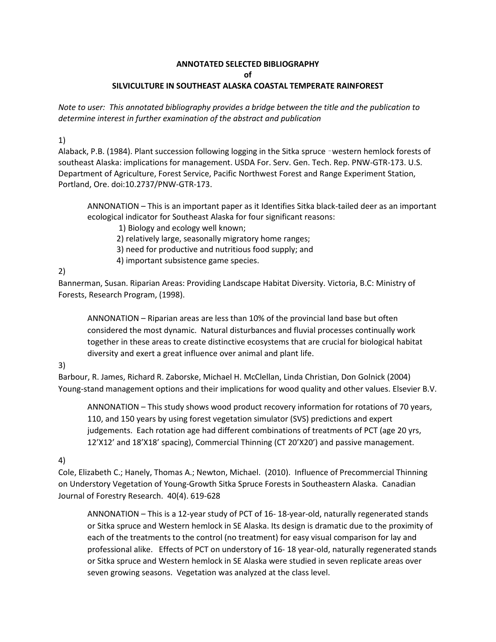#### **ANNOTATED SELECTED BIBLIOGRAPHY**

**of**

#### **SILVICULTURE IN SOUTHEAST ALASKA COASTAL TEMPERATE RAINFOREST**

*Note to user: This annotated bibliography provides a bridge between the title and the publication to determine interest in further examination of the abstract and publication*

#### 1)

Alaback, P.B. (1984). Plant succession following logging in the Sitka spruce –western hemlock forests of southeast Alaska: implications for management. USDA For. Serv. Gen. Tech. Rep. PNW-GTR-173. U.S. Department of Agriculture, Forest Service, Pacific Northwest Forest and Range Experiment Station, Portland, Ore. doi:10.2737/PNW-GTR-173.

ANNONATION – This is an important paper as it Identifies Sitka black-tailed deer as an important ecological indicator for Southeast Alaska for four significant reasons:

1) Biology and ecology well known;

2) relatively large, seasonally migratory home ranges;

3) need for productive and nutritious food supply; and

4) important subsistence game species.

# 2)

Bannerman, Susan. Riparian Areas: Providing Landscape Habitat Diversity. Victoria, B.C: Ministry of Forests, Research Program, (1998).

ANNONATION – Riparian areas are less than 10% of the provincial land base but often considered the most dynamic. Natural disturbances and fluvial processes continually work together in these areas to create distinctive ecosystems that are crucial for biological habitat diversity and exert a great influence over animal and plant life.

# 3)

Barbour, R. James, Richard R. Zaborske, Michael H. McClellan, Linda Christian, Don Golnick (2004) Young-stand management options and their implications for wood quality and other values. Elsevier B.V.

ANNONATION – This study shows wood product recovery information for rotations of 70 years, 110, and 150 years by using forest vegetation simulator (SVS) predictions and expert judgements. Each rotation age had different combinations of treatments of PCT (age 20 yrs, 12'X12' and 18'X18' spacing), Commercial Thinning (CT 20'X20') and passive management.

# 4)

Cole, Elizabeth C.; Hanely, Thomas A.; Newton, Michael. (2010). Influence of Precommercial Thinning on Understory Vegetation of Young-Growth Sitka Spruce Forests in Southeastern Alaska. Canadian Journal of Forestry Research. 40(4). 619-628

ANNONATION – This is a 12-year study of PCT of 16- 18-year-old, naturally regenerated stands or Sitka spruce and Western hemlock in SE Alaska. Its design is dramatic due to the proximity of each of the treatments to the control (no treatment) for easy visual comparison for lay and professional alike. Effects of PCT on understory of 16- 18 year-old, naturally regenerated stands or Sitka spruce and Western hemlock in SE Alaska were studied in seven replicate areas over seven growing seasons. Vegetation was analyzed at the class level.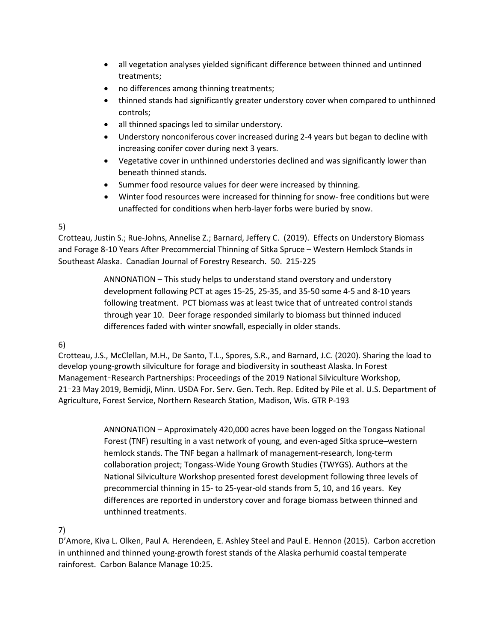- all vegetation analyses yielded significant difference between thinned and untinned treatments;
- no differences among thinning treatments;
- thinned stands had significantly greater understory cover when compared to unthinned controls;
- all thinned spacings led to similar understory.
- Understory nonconiferous cover increased during 2-4 years but began to decline with increasing conifer cover during next 3 years.
- Vegetative cover in unthinned understories declined and was significantly lower than beneath thinned stands.
- Summer food resource values for deer were increased by thinning.
- Winter food resources were increased for thinning for snow- free conditions but were unaffected for conditions when herb-layer forbs were buried by snow.

# 5)

Crotteau, Justin S.; Rue-Johns, Annelise Z.; Barnard, Jeffery C. (2019). Effects on Understory Biomass and Forage 8-10 Years After Precommercial Thinning of Sitka Spruce – Western Hemlock Stands in Southeast Alaska. Canadian Journal of Forestry Research. 50. 215-225

> ANNONATION – This study helps to understand stand overstory and understory development following PCT at ages 15-25, 25-35, and 35-50 some 4-5 and 8-10 years following treatment. PCT biomass was at least twice that of untreated control stands through year 10. Deer forage responded similarly to biomass but thinned induced differences faded with winter snowfall, especially in older stands.

# 6)

Crotteau, J.S., McClellan, M.H., De Santo, T.L., Spores, S.R., and Barnard, J.C. (2020). Sharing the load to develop young-growth silviculture for forage and biodiversity in southeast Alaska. In Forest Management–Research Partnerships: Proceedings of the 2019 National Silviculture Workshop, 21–23 May 2019, Bemidji, Minn. USDA For. Serv. Gen. Tech. Rep. Edited by Pile et al. U.S. Department of Agriculture, Forest Service, Northern Research Station, Madison, Wis. GTR P-193

> ANNONATION – Approximately 420,000 acres have been logged on the Tongass National Forest (TNF) resulting in a vast network of young, and even-aged Sitka spruce–western hemlock stands. The TNF began a hallmark of management-research, long-term collaboration project; Tongass-Wide Young Growth Studies (TWYGS). Authors at the National Silviculture Workshop presented forest development following three levels of precommercial thinning in 15- to 25-year-old stands from 5, 10, and 16 years. Key differences are reported in understory cover and forage biomass between thinned and unthinned treatments.

# 7)

D'Amore, Kiva L. Olken, Paul A. Herendeen, E. Ashley Steel and Paul E. Hennon (2015). Carbon accretion in unthinned and thinned young-growth forest stands of the Alaska perhumid coastal temperate rainforest. Carbon Balance Manage 10:25.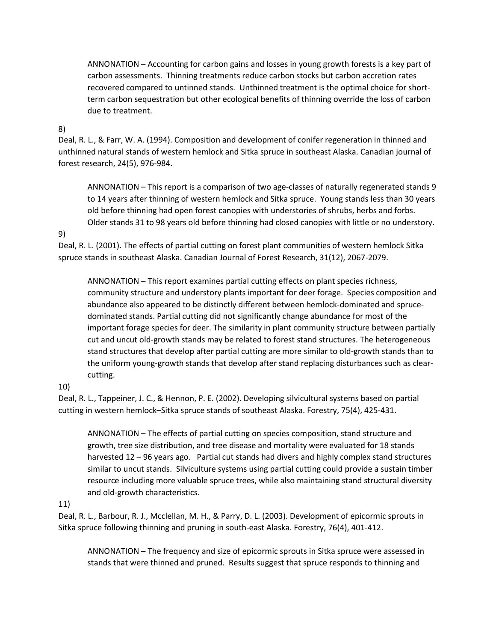ANNONATION – Accounting for carbon gains and losses in young growth forests is a key part of carbon assessments. Thinning treatments reduce carbon stocks but carbon accretion rates recovered compared to untinned stands. Unthinned treatment is the optimal choice for shortterm carbon sequestration but other ecological benefits of thinning override the loss of carbon due to treatment.

#### 8)

Deal, R. L., & Farr, W. A. (1994). Composition and development of conifer regeneration in thinned and unthinned natural stands of western hemlock and Sitka spruce in southeast Alaska. Canadian journal of forest research, 24(5), 976-984.

ANNONATION – This report is a comparison of two age-classes of naturally regenerated stands 9 to 14 years after thinning of western hemlock and Sitka spruce. Young stands less than 30 years old before thinning had open forest canopies with understories of shrubs, herbs and forbs. Older stands 31 to 98 years old before thinning had closed canopies with little or no understory.

#### 9)

Deal, R. L. (2001). The effects of partial cutting on forest plant communities of western hemlock Sitka spruce stands in southeast Alaska. Canadian Journal of Forest Research, 31(12), 2067-2079.

ANNONATION – This report examines partial cutting effects on plant species richness, community structure and understory plants important for deer forage. Species composition and abundance also appeared to be distinctly different between hemlock-dominated and sprucedominated stands. Partial cutting did not significantly change abundance for most of the important forage species for deer. The similarity in plant community structure between partially cut and uncut old-growth stands may be related to forest stand structures. The heterogeneous stand structures that develop after partial cutting are more similar to old-growth stands than to the uniform young-growth stands that develop after stand replacing disturbances such as clearcutting.

# 10)

Deal, R. L., Tappeiner, J. C., & Hennon, P. E. (2002). Developing silvicultural systems based on partial cutting in western hemlock–Sitka spruce stands of southeast Alaska. Forestry, 75(4), 425-431.

ANNONATION – The effects of partial cutting on species composition, stand structure and growth, tree size distribution, and tree disease and mortality were evaluated for 18 stands harvested 12 – 96 years ago. Partial cut stands had divers and highly complex stand structures similar to uncut stands. Silviculture systems using partial cutting could provide a sustain timber resource including more valuable spruce trees, while also maintaining stand structural diversity and old-growth characteristics.

# 11)

Deal, R. L., Barbour, R. J., Mcclellan, M. H., & Parry, D. L. (2003). Development of epicormic sprouts in Sitka spruce following thinning and pruning in south-east Alaska. Forestry, 76(4), 401-412.

ANNONATION – The frequency and size of epicormic sprouts in Sitka spruce were assessed in stands that were thinned and pruned. Results suggest that spruce responds to thinning and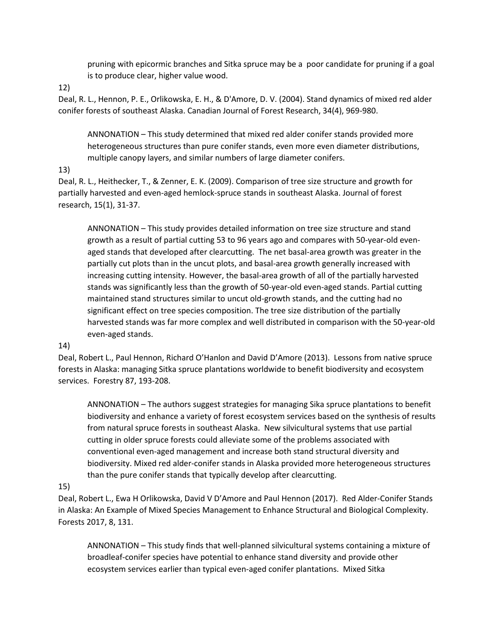pruning with epicormic branches and Sitka spruce may be a poor candidate for pruning if a goal is to produce clear, higher value wood.

12)

Deal, R. L., Hennon, P. E., Orlikowska, E. H., & D'Amore, D. V. (2004). Stand dynamics of mixed red alder conifer forests of southeast Alaska. Canadian Journal of Forest Research, 34(4), 969-980.

ANNONATION – This study determined that mixed red alder conifer stands provided more heterogeneous structures than pure conifer stands, even more even diameter distributions, multiple canopy layers, and similar numbers of large diameter conifers.

# 13)

Deal, R. L., Heithecker, T., & Zenner, E. K. (2009). Comparison of tree size structure and growth for partially harvested and even-aged hemlock-spruce stands in southeast Alaska. Journal of forest research, 15(1), 31-37.

ANNONATION – This study provides detailed information on tree size structure and stand growth as a result of partial cutting 53 to 96 years ago and compares with 50-year-old evenaged stands that developed after clearcutting. The net basal-area growth was greater in the partially cut plots than in the uncut plots, and basal-area growth generally increased with increasing cutting intensity. However, the basal-area growth of all of the partially harvested stands was significantly less than the growth of 50-year-old even-aged stands. Partial cutting maintained stand structures similar to uncut old-growth stands, and the cutting had no significant effect on tree species composition. The tree size distribution of the partially harvested stands was far more complex and well distributed in comparison with the 50-year-old even-aged stands.

#### 14)

Deal, Robert L., Paul Hennon, Richard O'Hanlon and David D'Amore (2013). Lessons from native spruce forests in Alaska: managing Sitka spruce plantations worldwide to benefit biodiversity and ecosystem services. Forestry 87, 193-208.

ANNONATION – The authors suggest strategies for managing Sika spruce plantations to benefit biodiversity and enhance a variety of forest ecosystem services based on the synthesis of results from natural spruce forests in southeast Alaska. New silvicultural systems that use partial cutting in older spruce forests could alleviate some of the problems associated with conventional even-aged management and increase both stand structural diversity and biodiversity. Mixed red alder-conifer stands in Alaska provided more heterogeneous structures than the pure conifer stands that typically develop after clearcutting.

#### 15)

Deal, Robert L., Ewa H Orlikowska, David V D'Amore and Paul Hennon (2017). Red Alder-Conifer Stands in Alaska: An Example of Mixed Species Management to Enhance Structural and Biological Complexity. Forests 2017, 8, 131.

ANNONATION – This study finds that well-planned silvicultural systems containing a mixture of broadleaf-conifer species have potential to enhance stand diversity and provide other ecosystem services earlier than typical even-aged conifer plantations. Mixed Sitka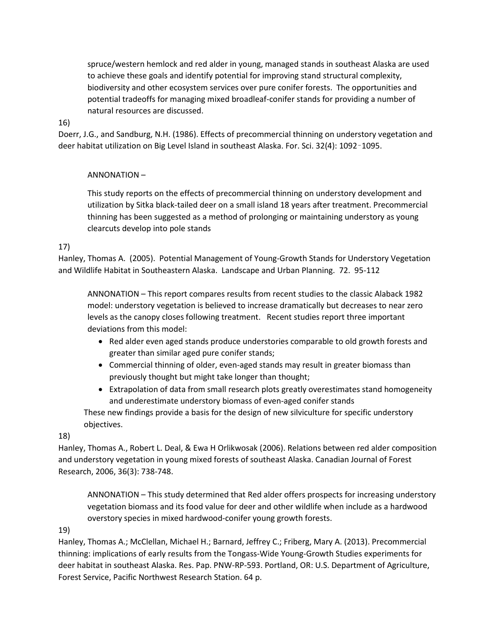spruce/western hemlock and red alder in young, managed stands in southeast Alaska are used to achieve these goals and identify potential for improving stand structural complexity, biodiversity and other ecosystem services over pure conifer forests. The opportunities and potential tradeoffs for managing mixed broadleaf-conifer stands for providing a number of natural resources are discussed.

#### 16)

Doerr, J.G., and Sandburg, N.H. (1986). Effects of precommercial thinning on understory vegetation and deer habitat utilization on Big Level Island in southeast Alaska. For. Sci. 32(4): 1092–1095.

# ANNONATION –

This study reports on the effects of precommercial thinning on understory development and utilization by Sitka black-tailed deer on a small island 18 years after treatment. Precommercial thinning has been suggested as a method of prolonging or maintaining understory as young clearcuts develop into pole stands

#### 17)

Hanley, Thomas A. (2005). Potential Management of Young-Growth Stands for Understory Vegetation and Wildlife Habitat in Southeastern Alaska. Landscape and Urban Planning. 72. 95-112

ANNONATION – This report compares results from recent studies to the classic Alaback 1982 model: understory vegetation is believed to increase dramatically but decreases to near zero levels as the canopy closes following treatment. Recent studies report three important deviations from this model:

- Red alder even aged stands produce understories comparable to old growth forests and greater than similar aged pure conifer stands;
- Commercial thinning of older, even-aged stands may result in greater biomass than previously thought but might take longer than thought;
- Extrapolation of data from small research plots greatly overestimates stand homogeneity and underestimate understory biomass of even-aged conifer stands

These new findings provide a basis for the design of new silviculture for specific understory objectives.

#### 18)

Hanley, Thomas A., Robert L. Deal, & Ewa H Orlikwosak (2006). Relations between red alder composition and understory vegetation in young mixed forests of southeast Alaska. Canadian Journal of Forest Research, 2006, 36(3): 738-748.

ANNONATION – This study determined that Red alder offers prospects for increasing understory vegetation biomass and its food value for deer and other wildlife when include as a hardwood overstory species in mixed hardwood-conifer young growth forests.

# 19)

Hanley, Thomas A.; McClellan, Michael H.; Barnard, Jeffrey C.; Friberg, Mary A. (2013). Precommercial thinning: implications of early results from the Tongass-Wide Young-Growth Studies experiments for deer habitat in southeast Alaska. Res. Pap. PNW-RP-593. Portland, OR: U.S. Department of Agriculture, Forest Service, Pacific Northwest Research Station. 64 p.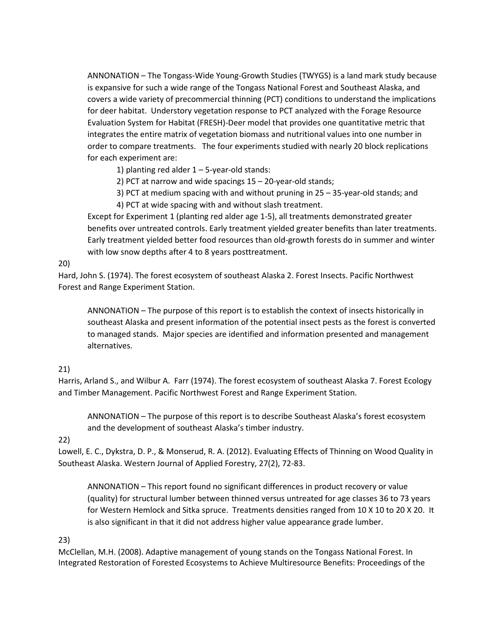ANNONATION – The Tongass-Wide Young-Growth Studies (TWYGS) is a land mark study because is expansive for such a wide range of the Tongass National Forest and Southeast Alaska, and covers a wide variety of precommercial thinning (PCT) conditions to understand the implications for deer habitat. Understory vegetation response to PCT analyzed with the Forage Resource Evaluation System for Habitat (FRESH)-Deer model that provides one quantitative metric that integrates the entire matrix of vegetation biomass and nutritional values into one number in order to compare treatments. The four experiments studied with nearly 20 block replications for each experiment are:

- 1) planting red alder  $1 5$ -year-old stands:
- 2) PCT at narrow and wide spacings 15 20-year-old stands;
- 3) PCT at medium spacing with and without pruning in 25 35-year-old stands; and
- 4) PCT at wide spacing with and without slash treatment.

Except for Experiment 1 (planting red alder age 1-5), all treatments demonstrated greater benefits over untreated controls. Early treatment yielded greater benefits than later treatments. Early treatment yielded better food resources than old-growth forests do in summer and winter with low snow depths after 4 to 8 years posttreatment.

#### 20)

Hard, John S. (1974). The forest ecosystem of southeast Alaska 2. Forest Insects. Pacific Northwest Forest and Range Experiment Station.

ANNONATION – The purpose of this report is to establish the context of insects historically in southeast Alaska and present information of the potential insect pests as the forest is converted to managed stands. Major species are identified and information presented and management alternatives.

# 21)

Harris, Arland S., and Wilbur A. Farr (1974). The forest ecosystem of southeast Alaska 7. Forest Ecology and Timber Management. Pacific Northwest Forest and Range Experiment Station.

ANNONATION – The purpose of this report is to describe Southeast Alaska's forest ecosystem and the development of southeast Alaska's timber industry.

#### 22)

Lowell, E. C., Dykstra, D. P., & Monserud, R. A. (2012). Evaluating Effects of Thinning on Wood Quality in Southeast Alaska. Western Journal of Applied Forestry, 27(2), 72-83.

ANNONATION – This report found no significant differences in product recovery or value (quality) for structural lumber between thinned versus untreated for age classes 36 to 73 years for Western Hemlock and Sitka spruce. Treatments densities ranged from 10 X 10 to 20 X 20. It is also significant in that it did not address higher value appearance grade lumber.

# 23)

McClellan, M.H. (2008). Adaptive management of young stands on the Tongass National Forest. In Integrated Restoration of Forested Ecosystems to Achieve Multiresource Benefits: Proceedings of the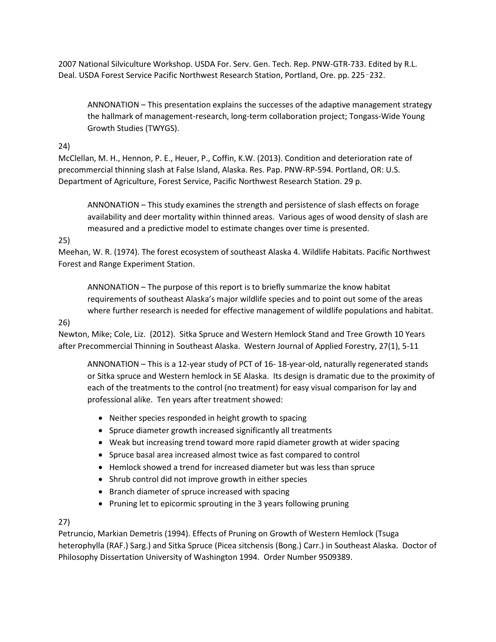2007 National Silviculture Workshop. USDA For. Serv. Gen. Tech. Rep. PNW-GTR-733. Edited by R.L. Deal. USDA Forest Service Pacific Northwest Research Station, Portland, Ore. pp. 225–232.

ANNONATION – This presentation explains the successes of the adaptive management strategy the hallmark of management-research, long-term collaboration project; Tongass-Wide Young Growth Studies (TWYGS).

# 24)

McClellan, M. H., Hennon, P. E., Heuer, P., Coffin, K.W. (2013). Condition and deterioration rate of precommercial thinning slash at False Island, Alaska. Res. Pap. PNW-RP-594. Portland, OR: U.S. Department of Agriculture, Forest Service, Pacific Northwest Research Station. 29 p.

ANNONATION – This study examines the strength and persistence of slash effects on forage availability and deer mortality within thinned areas. Various ages of wood density of slash are measured and a predictive model to estimate changes over time is presented.

# 25)

Meehan, W. R. (1974). The forest ecosystem of southeast Alaska 4. Wildlife Habitats. Pacific Northwest Forest and Range Experiment Station.

ANNONATION – The purpose of this report is to briefly summarize the know habitat requirements of southeast Alaska's major wildlife species and to point out some of the areas where further research is needed for effective management of wildlife populations and habitat.

#### 26)

Newton, Mike; Cole, Liz. (2012). Sitka Spruce and Western Hemlock Stand and Tree Growth 10 Years after Precommercial Thinning in Southeast Alaska. Western Journal of Applied Forestry, 27(1), 5-11

ANNONATION – This is a 12-year study of PCT of 16- 18-year-old, naturally regenerated stands or Sitka spruce and Western hemlock in SE Alaska. Its design is dramatic due to the proximity of each of the treatments to the control (no treatment) for easy visual comparison for lay and professional alike. Ten years after treatment showed:

- Neither species responded in height growth to spacing
- Spruce diameter growth increased significantly all treatments
- Weak but increasing trend toward more rapid diameter growth at wider spacing
- Spruce basal area increased almost twice as fast compared to control
- Hemlock showed a trend for increased diameter but was less than spruce
- Shrub control did not improve growth in either species
- Branch diameter of spruce increased with spacing
- Pruning let to epicormic sprouting in the 3 years following pruning

# 27)

Petruncio, Markian Demetris (1994). Effects of Pruning on Growth of Western Hemlock (Tsuga heterophylla (RAF.) Sarg.) and Sitka Spruce (Picea sitchensis (Bong.) Carr.) in Southeast Alaska. Doctor of Philosophy Dissertation University of Washington 1994. Order Number 9509389.